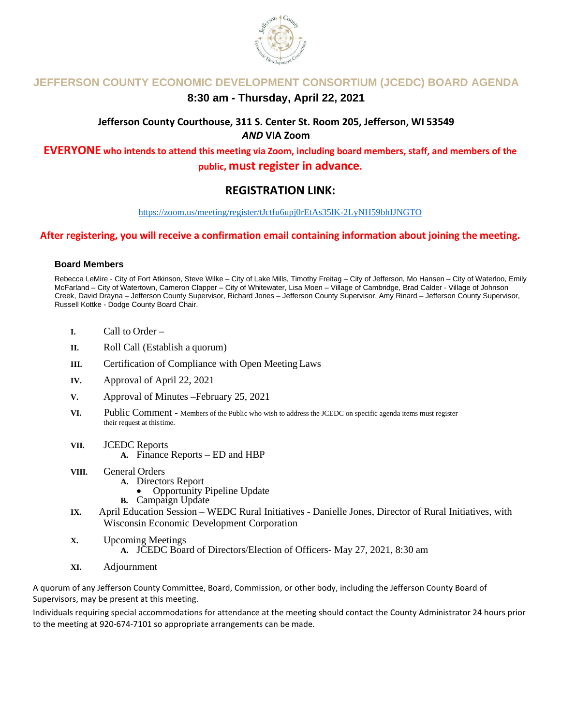

## **JEFFERSON COUNTY ECONOMIC DEVELOPMENT CONSORTIUM (JCEDC) BOARD AGENDA**

## **8:30 am - Thursday, April 22, 2021**

## **Jefferson County Courthouse, 311 S. Center St. Room 205, Jefferson, WI 53549** *AND* **VIA Zoom**

**EVERYONE who intends to attend this meeting via Zoom, including board members, staff, and members of the public, must register in advance.** 

## **REGISTRATION LINK:**

<https://zoom.us/meeting/register/tJctfu6upj0rEtAs35lK-2LyNH59bhIJNGTO>

### **After registering, you will receive a confirmation email containing information about joining the meeting.**

#### **Board Members**

Rebecca LeMire - City of Fort Atkinson, Steve Wilke – City of Lake Mills, Timothy Freitag – City of Jefferson, Mo Hansen – City of Waterloo, Emily McFarland – City of Watertown, Cameron Clapper – City of Whitewater, Lisa Moen – Village of Cambridge, Brad Calder - Village of Johnson Creek, David Drayna – Jefferson County Supervisor, Richard Jones – Jefferson County Supervisor, Amy Rinard – Jefferson County Supervisor, Russell Kottke - Dodge County Board Chair.

- **I.** Call to Order –
- **II.** Roll Call (Establish a quorum)
- **III.** Certification of Compliance with Open Meeting Laws
- **IV.** Approval of April 22, 2021
- **V.** Approval of Minutes –February 25, 2021
- **VI.**Public Comment Members of the Public who wish to address the JCEDC on specific agenda items must register their request at thistime.
- **VII.** JCEDC Reports **A.** Finance Reports – ED and HBP
- **VIII.** General Orders
	- - **A.** Directors Report<br>
		Opportunity Pipeline Update
		- **B.** Campaign Update
- **IX.** April Education Session WEDC Rural Initiatives Danielle Jones, Director of Rural Initiatives, with Wisconsin Economic Development Corporation
- **X.** Upcoming Meetings
	- **A.** JCEDC Board of Directors/Election of Officers- May 27, 2021, 8:30 am
- **XI.** Adjournment

A quorum of any Jefferson County Committee, Board, Commission, or other body, including the Jefferson County Board of Supervisors, may be present at this meeting.

Individuals requiring special accommodations for attendance at the meeting should contact the County Administrator 24 hours prior to the meeting at 920-674-7101 so appropriate arrangements can be made.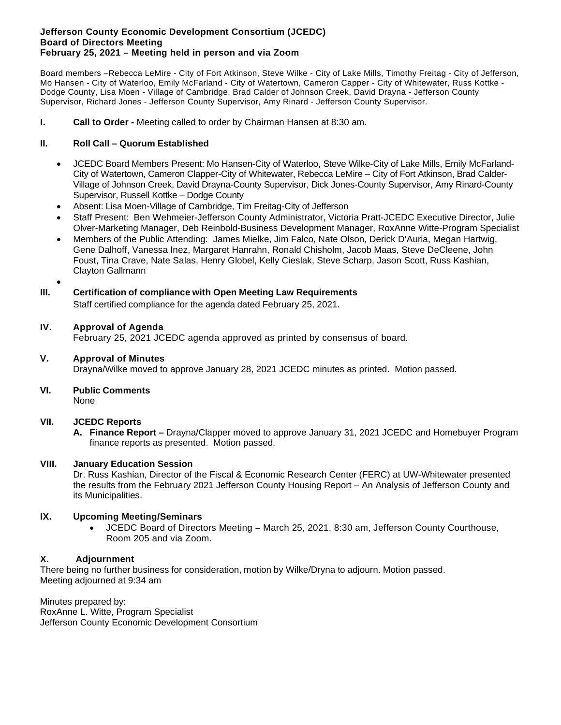#### **Jefferson County Economic Development Consortium (JCEDC) Board of Directors Meeting February 25, 2021 – Meeting held in person and via Zoom**

Board members –Rebecca LeMire - City of Fort Atkinson, Steve Wilke - City of Lake Mills, Timothy Freitag - City of Jefferson, Mo Hansen - City of Waterloo, Emily McFarland - City of Watertown, Cameron Capper - City of Whitewater, Russ Kottke - Dodge County, Lisa Moen - Village of Cambridge, Brad Calder of Johnson Creek, David Drayna - Jefferson County Supervisor, Richard Jones - Jefferson County Supervisor, Amy Rinard - Jefferson County Supervisor.

#### **I. Call to Order -** Meeting called to order by Chairman Hansen at 8:30 am.

#### **II. Roll Call – Quorum Established**

- JCEDC Board Members Present: Mo Hansen-City of Waterloo, Steve Wilke-City of Lake Mills, Emily McFarland-City of Watertown, Cameron Clapper-City of Whitewater, Rebecca LeMire – City of Fort Atkinson, Brad Calder-Village of Johnson Creek, David Drayna-County Supervisor, Dick Jones-County Supervisor, Amy Rinard-County Supervisor, Russell Kottke – Dodge County
- Absent: Lisa Moen-Village of Cambridge, Tim Freitag-City of Jefferson
- Staff Present: Ben Wehmeier-Jefferson County Administrator, Victoria Pratt-JCEDC Executive Director, Julie Olver-Marketing Manager, Deb Reinbold-Business Development Manager, RoxAnne Witte-Program Specialist
- Members of the Public Attending: James Mielke, Jim Falco, Nate Olson, Derick D'Auria, Megan Hartwig, Gene Dalhoff, Vanessa Inez, Margaret Hanrahn, Ronald Chisholm, Jacob Maas, Steve DeCleene, John Foust, Tina Crave, Nate Salas, Henry Globel, Kelly Cieslak, Steve Scharp, Jason Scott, Russ Kashian, Clayton Gallmann
- •

#### **III. Certification of compliance with Open Meeting Law Requirements**

Staff certified compliance for the agenda dated February 25, 2021.

#### **IV. Approval of Agenda**

February 25, 2021 JCEDC agenda approved as printed by consensus of board.

#### **V. Approval of Minutes**

Drayna/Wilke moved to approve January 28, 2021 JCEDC minutes as printed. Motion passed.

#### **VI. Public Comments**

None

#### **VII. JCEDC Reports**

**A. Finance Report –** Drayna/Clapper moved to approve January 31, 2021 JCEDC and Homebuyer Program finance reports as presented. Motion passed.

#### **VIII. January Education Session**

Dr. Russ Kashian, Director of the Fiscal & Economic Research Center (FERC) at UW-Whitewater presented the results from the February 2021 Jefferson County Housing Report – An Analysis of Jefferson County and its Municipalities.

#### **IX. Upcoming Meeting/Seminars**

• JCEDC Board of Directors Meeting **–** March 25, 2021, 8:30 am, Jefferson County Courthouse, Room 205 and via Zoom.

#### **X. Adjournment**

There being no further business for consideration, motion by Wilke/Dryna to adjourn. Motion passed. Meeting adjourned at 9:34 am

Minutes prepared by: RoxAnne L. Witte, Program Specialist Jefferson County Economic Development Consortium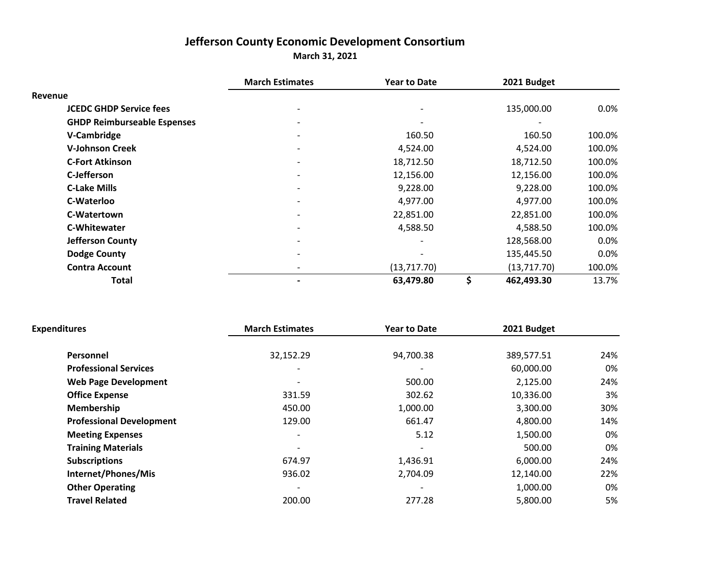# **Jefferson County Economic Development Consortium**

**March 31, 2021**

|                                    | <b>March Estimates</b>   | <b>Year to Date</b> | 2021 Budget      |         |
|------------------------------------|--------------------------|---------------------|------------------|---------|
| Revenue                            |                          |                     |                  |         |
| <b>JCEDC GHDP Service fees</b>     |                          |                     | 135,000.00       | $0.0\%$ |
| <b>GHDP Reimburseable Espenses</b> |                          |                     |                  |         |
| V-Cambridge                        | $\overline{\phantom{a}}$ | 160.50              | 160.50           | 100.0%  |
| <b>V-Johnson Creek</b>             | $\overline{\phantom{a}}$ | 4,524.00            | 4,524.00         | 100.0%  |
| <b>C-Fort Atkinson</b>             |                          | 18,712.50           | 18,712.50        | 100.0%  |
| C-Jefferson                        | $\overline{\phantom{a}}$ | 12,156.00           | 12,156.00        | 100.0%  |
| <b>C-Lake Mills</b>                |                          | 9,228.00            | 9,228.00         | 100.0%  |
| C-Waterloo                         |                          | 4,977.00            | 4,977.00         | 100.0%  |
| C-Watertown                        |                          | 22,851.00           | 22,851.00        | 100.0%  |
| <b>C-Whitewater</b>                |                          | 4,588.50            | 4,588.50         | 100.0%  |
| <b>Jefferson County</b>            |                          |                     | 128,568.00       | $0.0\%$ |
| <b>Dodge County</b>                |                          |                     | 135,445.50       | 0.0%    |
| <b>Contra Account</b>              | $\overline{\phantom{0}}$ | (13, 717.70)        | (13,717.70)      | 100.0%  |
| Total                              |                          | 63,479.80           | \$<br>462,493.30 | 13.7%   |

| <b>Expenditures</b>             | <b>March Estimates</b>   | <b>Year to Date</b> | 2021 Budget |     |
|---------------------------------|--------------------------|---------------------|-------------|-----|
| Personnel                       | 32,152.29                | 94,700.38           | 389,577.51  | 24% |
| <b>Professional Services</b>    |                          |                     | 60,000.00   | 0%  |
| <b>Web Page Development</b>     | $\overline{\phantom{0}}$ | 500.00              | 2,125.00    | 24% |
| <b>Office Expense</b>           | 331.59                   | 302.62              | 10,336.00   | 3%  |
| Membership                      | 450.00                   | 1,000.00            | 3,300.00    | 30% |
| <b>Professional Development</b> | 129.00                   | 661.47              | 4,800.00    | 14% |
| <b>Meeting Expenses</b>         |                          | 5.12                | 1,500.00    | 0%  |
| <b>Training Materials</b>       |                          |                     | 500.00      | 0%  |
| <b>Subscriptions</b>            | 674.97                   | 1,436.91            | 6,000.00    | 24% |
| Internet/Phones/Mis             | 936.02                   | 2,704.09            | 12,140.00   | 22% |
| <b>Other Operating</b>          |                          |                     | 1,000.00    | 0%  |
| <b>Travel Related</b>           | 200.00                   | 277.28              | 5,800.00    | 5%  |
|                                 |                          |                     |             |     |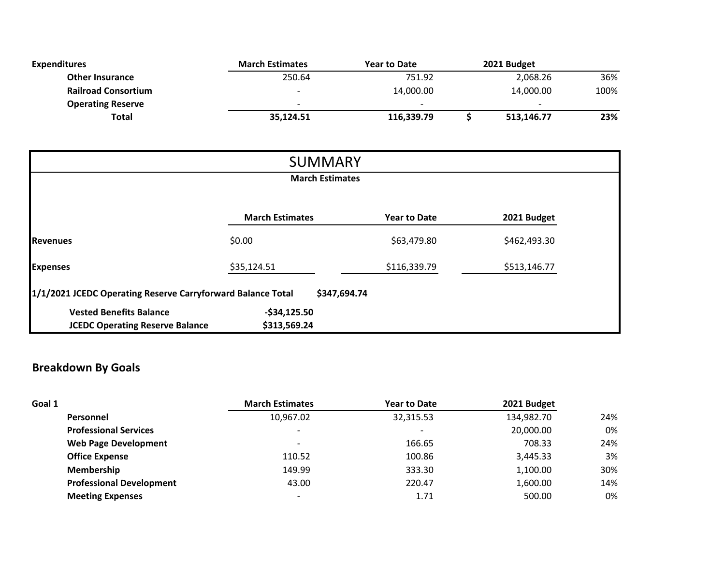| <b>Expenditures</b>        | <b>March Estimates</b>   | <b>Year to Date</b> | 2021 Budget              |      |
|----------------------------|--------------------------|---------------------|--------------------------|------|
| <b>Other Insurance</b>     | 250.64                   | 751.92              | 2,068.26                 | 36%  |
| <b>Railroad Consortium</b> | $\overline{\phantom{0}}$ | 14,000.00           | 14,000.00                | 100% |
| <b>Operating Reserve</b>   | $\overline{\phantom{0}}$ | <b>.</b>            | $\overline{\phantom{0}}$ |      |
| Total                      | 35,124.51                | 116,339.79          | 513,146.77               | 23%  |

| <b>SUMMARY</b>                                                              |                               |                     |              |  |  |
|-----------------------------------------------------------------------------|-------------------------------|---------------------|--------------|--|--|
|                                                                             | <b>March Estimates</b>        |                     |              |  |  |
|                                                                             | <b>March Estimates</b>        | <b>Year to Date</b> | 2021 Budget  |  |  |
| <b>Revenues</b>                                                             | \$0.00                        | \$63,479.80         | \$462,493.30 |  |  |
| <b>Expenses</b>                                                             | \$35,124.51                   | \$116,339.79        | \$513,146.77 |  |  |
| 1/1/2021 JCEDC Operating Reserve Carryforward Balance Total<br>\$347,694.74 |                               |                     |              |  |  |
| <b>Vested Benefits Balance</b><br><b>JCEDC Operating Reserve Balance</b>    | $-$34,125.50$<br>\$313,569.24 |                     |              |  |  |

# **Breakdown By Goals**

| Goal 1                          | <b>March Estimates</b>   | <b>Year to Date</b> | 2021 Budget |     |
|---------------------------------|--------------------------|---------------------|-------------|-----|
| Personnel                       | 10,967.02                | 32,315.53           | 134,982.70  | 24% |
| <b>Professional Services</b>    |                          |                     | 20,000.00   | 0%  |
| <b>Web Page Development</b>     | $\overline{\phantom{0}}$ | 166.65              | 708.33      | 24% |
| <b>Office Expense</b>           | 110.52                   | 100.86              | 3,445.33    | 3%  |
| Membership                      | 149.99                   | 333.30              | 1,100.00    | 30% |
| <b>Professional Development</b> | 43.00                    | 220.47              | 1,600.00    | 14% |
| <b>Meeting Expenses</b>         |                          | 1.71                | 500.00      | 0%  |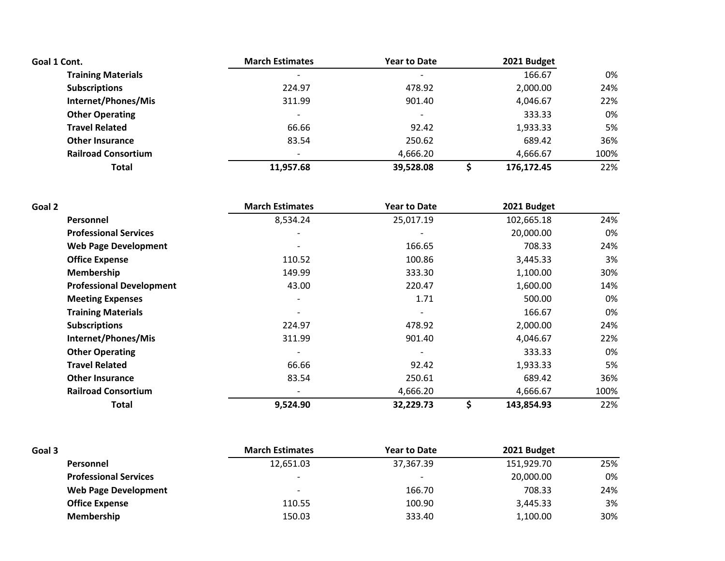| Goal 1 Cont.               | <b>March Estimates</b>   | <b>Year to Date</b>      | 2021 Budget |      |
|----------------------------|--------------------------|--------------------------|-------------|------|
| <b>Training Materials</b>  |                          |                          | 166.67      | 0%   |
| <b>Subscriptions</b>       | 224.97                   | 478.92                   | 2,000.00    | 24%  |
| Internet/Phones/Mis        | 311.99                   | 901.40                   | 4,046.67    | 22%  |
| <b>Other Operating</b>     | $\overline{\phantom{0}}$ | $\overline{\phantom{0}}$ | 333.33      | 0%   |
| <b>Travel Related</b>      | 66.66                    | 92.42                    | 1,933.33    | 5%   |
| <b>Other Insurance</b>     | 83.54                    | 250.62                   | 689.42      | 36%  |
| <b>Railroad Consortium</b> |                          | 4,666.20                 | 4,666.67    | 100% |
| Total                      | 11,957.68                | 39,528.08                | 176,172.45  | 22%  |

| Goal 2                          | <b>March Estimates</b>   | <b>Year to Date</b>      | 2021 Budget      |      |
|---------------------------------|--------------------------|--------------------------|------------------|------|
| <b>Personnel</b>                | 8,534.24                 | 25,017.19                | 102,665.18       | 24%  |
| <b>Professional Services</b>    | $\overline{\phantom{0}}$ | $\overline{\phantom{a}}$ | 20,000.00        | 0%   |
| <b>Web Page Development</b>     |                          | 166.65                   | 708.33           | 24%  |
| <b>Office Expense</b>           | 110.52                   | 100.86                   | 3,445.33         | 3%   |
| Membership                      | 149.99                   | 333.30                   | 1,100.00         | 30%  |
| <b>Professional Development</b> | 43.00                    | 220.47                   | 1,600.00         | 14%  |
| <b>Meeting Expenses</b>         |                          | 1.71                     | 500.00           | 0%   |
| <b>Training Materials</b>       |                          |                          | 166.67           | 0%   |
| <b>Subscriptions</b>            | 224.97                   | 478.92                   | 2,000.00         | 24%  |
| Internet/Phones/Mis             | 311.99                   | 901.40                   | 4,046.67         | 22%  |
| <b>Other Operating</b>          |                          |                          | 333.33           | 0%   |
| <b>Travel Related</b>           | 66.66                    | 92.42                    | 1,933.33         | 5%   |
| <b>Other Insurance</b>          | 83.54                    | 250.61                   | 689.42           | 36%  |
| <b>Railroad Consortium</b>      | $\overline{\phantom{a}}$ | 4,666.20                 | 4,666.67         | 100% |
| Total                           | 9,524.90                 | 32,229.73                | \$<br>143,854.93 | 22%  |

| Goal 3                       | <b>March Estimates</b>   | <b>Year to Date</b>      | 2021 Budget |     |
|------------------------------|--------------------------|--------------------------|-------------|-----|
| Personnel                    | 12,651.03                | 37,367.39                | 151,929.70  | 25% |
| <b>Professional Services</b> | -                        | $\overline{\phantom{a}}$ | 20,000.00   | 0%  |
| <b>Web Page Development</b>  | $\overline{\phantom{a}}$ | 166.70                   | 708.33      | 24% |
| <b>Office Expense</b>        | 110.55                   | 100.90                   | 3,445.33    | 3%  |
| Membership                   | 150.03                   | 333.40                   | 1,100.00    | 30% |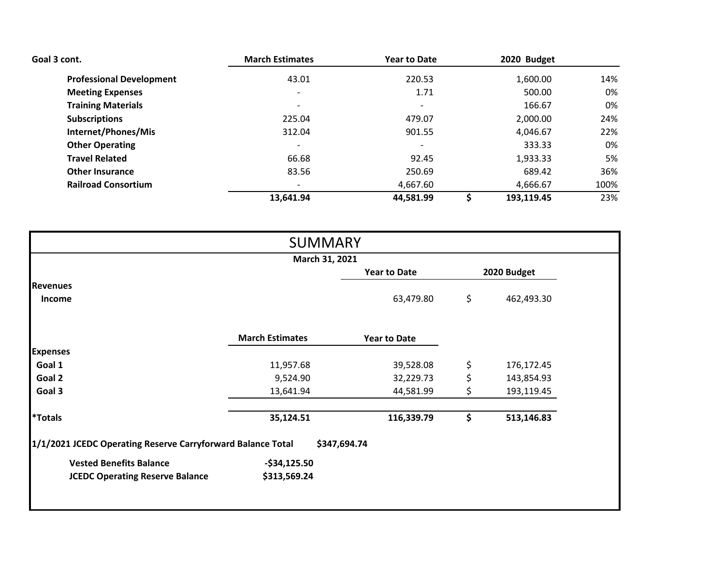| Goal 3 cont.                    | <b>March Estimates</b>   | <b>Year to Date</b>      | 2020 Budget |      |
|---------------------------------|--------------------------|--------------------------|-------------|------|
| <b>Professional Development</b> | 43.01                    | 220.53                   | 1,600.00    | 14%  |
| <b>Meeting Expenses</b>         | $\overline{\phantom{a}}$ | 1.71                     | 500.00      | 0%   |
| <b>Training Materials</b>       | $\overline{\phantom{0}}$ | $\overline{\phantom{0}}$ | 166.67      | 0%   |
| <b>Subscriptions</b>            | 225.04                   | 479.07                   | 2,000.00    | 24%  |
| Internet/Phones/Mis             | 312.04                   | 901.55                   | 4,046.67    | 22%  |
| <b>Other Operating</b>          |                          |                          | 333.33      | 0%   |
| <b>Travel Related</b>           | 66.68                    | 92.45                    | 1,933.33    | 5%   |
| <b>Other Insurance</b>          | 83.56                    | 250.69                   | 689.42      | 36%  |
| <b>Railroad Consortium</b>      |                          | 4,667.60                 | 4,666.67    | 100% |
|                                 | 13,641.94                | 44,581.99                | 193,119.45  | 23%  |

|                                                             | <b>SUMMARY</b>         |                     |                  |
|-------------------------------------------------------------|------------------------|---------------------|------------------|
|                                                             | March 31, 2021         |                     |                  |
|                                                             |                        | <b>Year to Date</b> | 2020 Budget      |
| <b>Revenues</b>                                             |                        |                     |                  |
| <b>Income</b>                                               |                        | 63,479.80           | \$<br>462,493.30 |
|                                                             | <b>March Estimates</b> | <b>Year to Date</b> |                  |
| <b>Expenses</b>                                             |                        |                     |                  |
| Goal 1                                                      | 11,957.68              | 39,528.08           | \$<br>176,172.45 |
| Goal 2                                                      | 9,524.90               | 32,229.73           | \$<br>143,854.93 |
| Goal 3                                                      | 13,641.94              | 44,581.99           | \$<br>193,119.45 |
| <i><b>*Totals</b></i>                                       | 35,124.51              | 116,339.79          | \$<br>513,146.83 |
| 1/1/2021 JCEDC Operating Reserve Carryforward Balance Total |                        | \$347,694.74        |                  |
| <b>Vested Benefits Balance</b>                              | $-$34,125.50$          |                     |                  |
| <b>JCEDC Operating Reserve Balance</b>                      | \$313,569.24           |                     |                  |